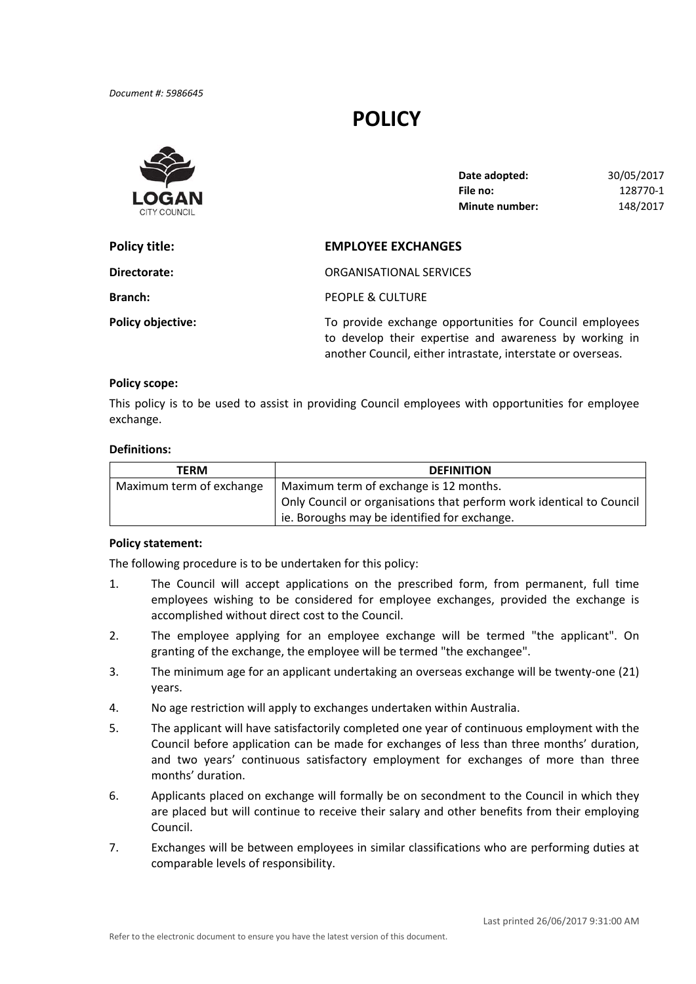*Document #: 5986645*

# **POLICY**



| Date adopted:         | 30/05/2017 |
|-----------------------|------------|
| File no:              | 128770-1   |
| <b>Minute number:</b> | 148/2017   |

| <b>Policy title:</b>     | <b>EMPLOYEE EXCHANGES</b>                                                                                                                                                        |  |
|--------------------------|----------------------------------------------------------------------------------------------------------------------------------------------------------------------------------|--|
| Directorate:             | ORGANISATIONAL SERVICES                                                                                                                                                          |  |
| <b>Branch:</b>           | PEOPLE & CULTURE                                                                                                                                                                 |  |
| <b>Policy objective:</b> | To provide exchange opportunities for Council employees<br>to develop their expertise and awareness by working in<br>another Council, either intrastate, interstate or overseas. |  |

#### **Policy scope:**

 This policy is to be used to assist in providing Council employees with opportunities for employee exchange.

#### **Definitions:**

| TERM                     | <b>DEFINITION</b>                                                    |  |
|--------------------------|----------------------------------------------------------------------|--|
| Maximum term of exchange | Maximum term of exchange is 12 months.                               |  |
|                          | Only Council or organisations that perform work identical to Council |  |
|                          | ie. Boroughs may be identified for exchange.                         |  |

### **Policy statement:**

The following procedure is to be undertaken for this policy:

- 1. The Council will accept applications on the prescribed form, from permanent, full time employees wishing to be considered for employee exchanges, provided the exchange is accomplished without direct cost to the Council.
- 2. The employee applying for an employee exchange will be termed "the applicant". On granting of the exchange, the employee will be termed "the exchangee".
- 3. The minimum age for an applicant undertaking an overseas exchange will be twenty‐one (21) years.
- 4. No age restriction will apply to exchanges undertaken within Australia.
- 5. The applicant will have satisfactorily completed one year of continuous employment with the Council before application can be made for exchanges of less than three months' duration, and two years' continuous satisfactory employment for exchanges of more than three months' duration.
- 6. Applicants placed on exchange will formally be on secondment to the Council in which they are placed but will continue to receive their salary and other benefits from their employing Council.
- 7. Exchanges will be between employees in similar classifications who are performing duties at comparable levels of responsibility.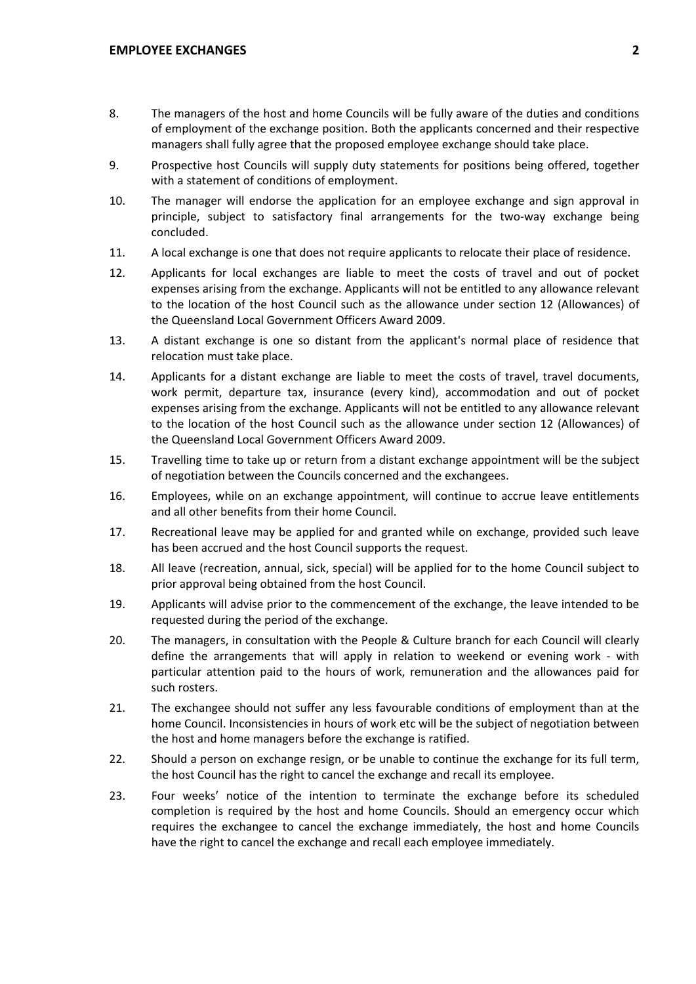- 8. The managers of the host and home Councils will be fully aware of the duties and conditions of employment of the exchange position. Both the applicants concerned and their respective managers shall fully agree that the proposed employee exchange should take place.
- 9. Prospective host Councils will supply duty statements for positions being offered, together with a statement of conditions of employment.
- 10. The manager will endorse the application for an employee exchange and sign approval in principle, subject to satisfactory final arrangements for the two‐way exchange being concluded.
- 11. A local exchange is one that does not require applicants to relocate their place of residence.
- 12. Applicants for local exchanges are liable to meet the costs of travel and out of pocket expenses arising from the exchange. Applicants will not be entitled to any allowance relevant to the location of the host Council such as the allowance under section 12 (Allowances) of the Queensland Local Government Officers Award 2009.
- 13. A distant exchange is one so distant from the applicant's normal place of residence that relocation must take place.
- 14. Applicants for a distant exchange are liable to meet the costs of travel, travel documents, work permit, departure tax, insurance (every kind), accommodation and out of pocket expenses arising from the exchange. Applicants will not be entitled to any allowance relevant to the location of the host Council such as the allowance under section 12 (Allowances) of the Queensland Local Government Officers Award 2009.
- 15. Travelling time to take up or return from a distant exchange appointment will be the subject of negotiation between the Councils concerned and the exchangees.
- 16. Employees, while on an exchange appointment, will continue to accrue leave entitlements and all other benefits from their home Council.
- 17. Recreational leave may be applied for and granted while on exchange, provided such leave has been accrued and the host Council supports the request.
- 18. All leave (recreation, annual, sick, special) will be applied for to the home Council subject to prior approval being obtained from the host Council.
- 19. Applicants will advise prior to the commencement of the exchange, the leave intended to be requested during the period of the exchange.
- 20. The managers, in consultation with the People & Culture branch for each Council will clearly define the arrangements that will apply in relation to weekend or evening work ‐ with particular attention paid to the hours of work, remuneration and the allowances paid for such rosters.
- 21. The exchangee should not suffer any less favourable conditions of employment than at the home Council. Inconsistencies in hours of work etc will be the subject of negotiation between the host and home managers before the exchange is ratified.
- 22. Should a person on exchange resign, or be unable to continue the exchange for its full term, the host Council has the right to cancel the exchange and recall its employee.
- 23. Four weeks' notice of the intention to terminate the exchange before its scheduled completion is required by the host and home Councils. Should an emergency occur which requires the exchangee to cancel the exchange immediately, the host and home Councils have the right to cancel the exchange and recall each employee immediately.